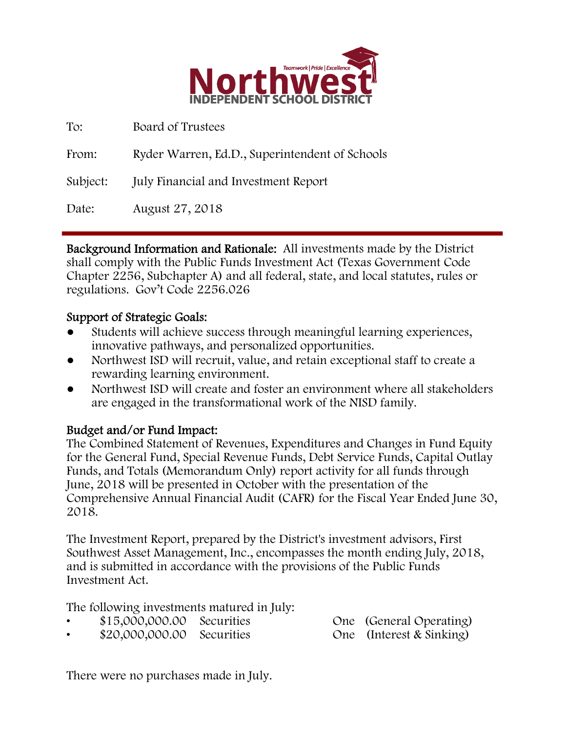

| To:      | Board of Trustees                              |
|----------|------------------------------------------------|
| From:    | Ryder Warren, Ed.D., Superintendent of Schools |
| Subject: | <b>July Financial and Investment Report</b>    |
| Date:    | August 27, 2018                                |

Background Information and Rationale: All investments made by the District shall comply with the Public Funds Investment Act (Texas Government Code Chapter 2256, Subchapter A) and all federal, state, and local statutes, rules or regulations. Gov't Code 2256.026

### Support of Strategic Goals:

- Students will achieve success through meaningful learning experiences, innovative pathways, and personalized opportunities.
- Northwest ISD will recruit, value, and retain exceptional staff to create a rewarding learning environment.
- Northwest ISD will create and foster an environment where all stakeholders are engaged in the transformational work of the NISD family.

## Budget and/or Fund Impact:

The Combined Statement of Revenues, Expenditures and Changes in Fund Equity for the General Fund, Special Revenue Funds, Debt Service Funds, Capital Outlay Funds, and Totals (Memorandum Only) report activity for all funds through June, 2018 will be presented in October with the presentation of the Comprehensive Annual Financial Audit (CAFR) for the Fiscal Year Ended June 30, 2018.

The Investment Report, prepared by the District's investment advisors, First Southwest Asset Management, Inc., encompasses the month ending July, 2018, and is submitted in accordance with the provisions of the Public Funds Investment Act.

The following investments matured in July:

| \$15,000,000.00 Securities |  | One (General Operating)  |
|----------------------------|--|--------------------------|
| \$20,000,000.00 Securities |  | One (Interest & Sinking) |

There were no purchases made in July.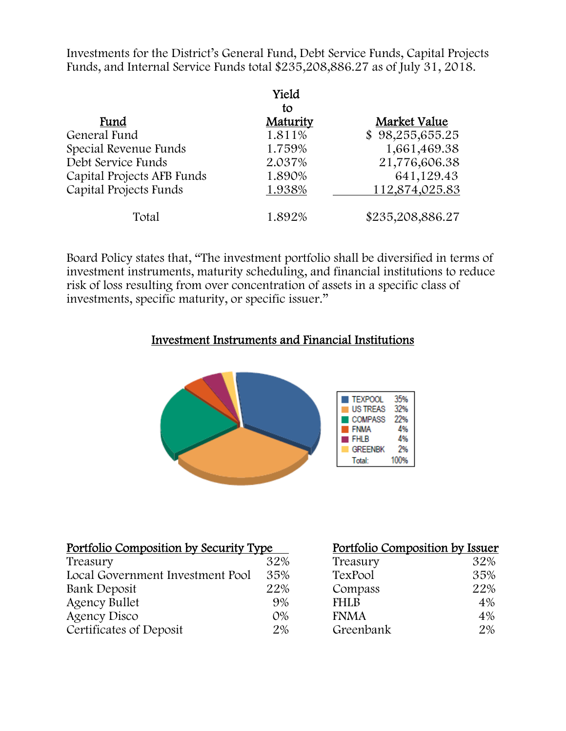Investments for the District's General Fund, Debt Service Funds, Capital Projects Funds, and Internal Service Funds total \$235,208,886.27 as of July 31, 2018.

|                            | Yield    |                  |
|----------------------------|----------|------------------|
|                            | tο       |                  |
| Fund                       | Maturity | Market Value     |
| General Fund               | 1.811%   | \$98,255,655.25  |
| Special Revenue Funds      | 1.759%   | 1,661,469.38     |
| Debt Service Funds         | 2.037%   | 21,776,606.38    |
| Capital Projects AFB Funds | 1.890%   | 641,129.43       |
| Capital Projects Funds     | 1.938%   | 112,874,025.83   |
| Total                      | 1.892%   | \$235,208,886.27 |

Board Policy states that, "The investment portfolio shall be diversified in terms of investment instruments, maturity scheduling, and financial institutions to reduce risk of loss resulting from over concentration of assets in a specific class of investments, specific maturity, or specific issuer."

### Investment Instruments and Financial Institutions



| Portfolio Composition by Security Type |       |             | Portfolio Composition by Issuer |  |
|----------------------------------------|-------|-------------|---------------------------------|--|
| Treasury                               | 32%   | Treasury    | 32%                             |  |
| Local Government Investment Pool       | 35%   | TexPool     | 35%                             |  |
| Bank Deposit                           | 22%   | Compass     | 22%                             |  |
| <b>Agency Bullet</b>                   | 9%    | <b>FHLB</b> | 4%                              |  |
| Agency Disco                           | $O\%$ | <b>FNMA</b> | 4%                              |  |
| Certificates of Deposit                | 2%    | Greenbank   | $2\%$                           |  |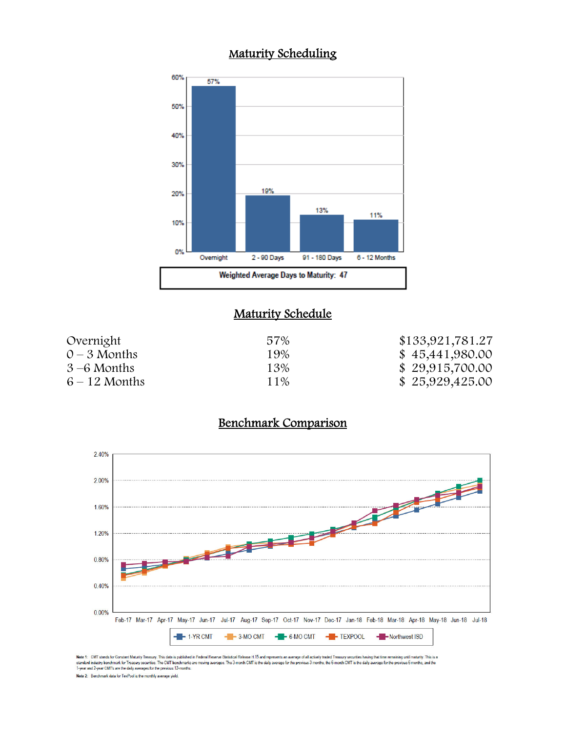# Maturity Scheduling



#### **Maturity Schedule**

| Overnight       | 57% | \$133,921,781.27 |
|-----------------|-----|------------------|
| $0 - 3$ Months  | 19% | \$45,441,980.00  |
| $3-6$ Months    | 13% | \$29,915,700.00  |
| $6 - 12$ Months | 11% | \$25,929,425.00  |

### Benchmark Comparison



Note 1: CMT stands for Constant Maturity Treasury. This data is published in Federal Resene Statistical Release H.15 and represents an average of all actively traded Treasury securities having that time remaining until mat Note 2: Benchmark data for TexPool is the monthly average yield.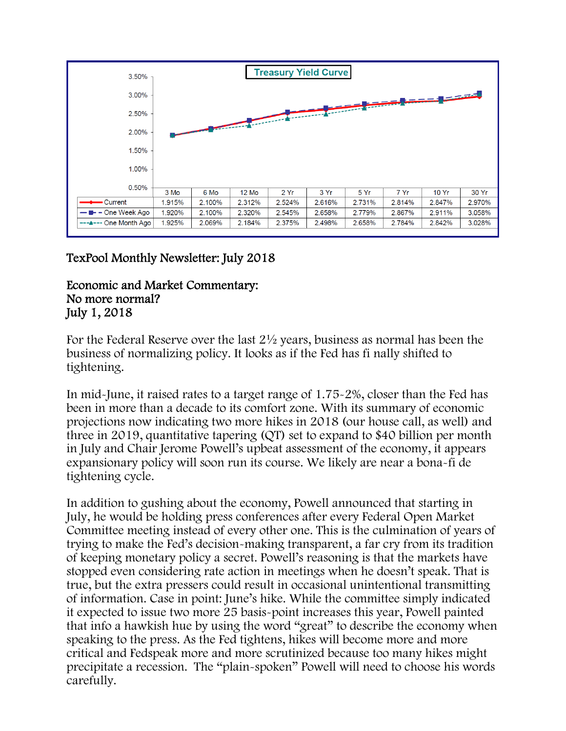

# TexPool Monthly Newsletter: July 2018

#### Economic and Market Commentary: No more normal? July 1, 2018

For the Federal Reserve over the last 2½ years, business as normal has been the business of normalizing policy. It looks as if the Fed has fi nally shifted to tightening.

In mid-June, it raised rates to a target range of 1.75-2%, closer than the Fed has been in more than a decade to its comfort zone. With its summary of economic projections now indicating two more hikes in 2018 (our house call, as well) and three in 2019, quantitative tapering (QT) set to expand to \$40 billion per month in July and Chair Jerome Powell's upbeat assessment of the economy, it appears expansionary policy will soon run its course. We likely are near a bona-fi de tightening cycle.

In addition to gushing about the economy, Powell announced that starting in July, he would be holding press conferences after every Federal Open Market Committee meeting instead of every other one. This is the culmination of years of trying to make the Fed's decision-making transparent, a far cry from its tradition of keeping monetary policy a secret. Powell's reasoning is that the markets have stopped even considering rate action in meetings when he doesn't speak. That is true, but the extra pressers could result in occasional unintentional transmitting of information. Case in point: June's hike. While the committee simply indicated it expected to issue two more 25 basis-point increases this year, Powell painted that info a hawkish hue by using the word "great" to describe the economy when speaking to the press. As the Fed tightens, hikes will become more and more critical and Fedspeak more and more scrutinized because too many hikes might precipitate a recession. The "plain-spoken" Powell will need to choose his words carefully.